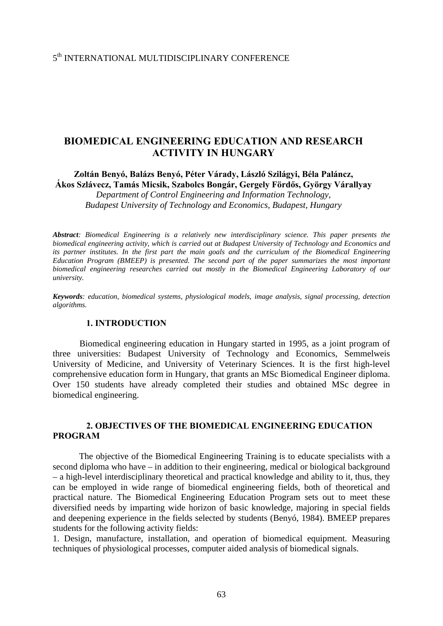# 5th INTERNATIONAL MULTIDISCIPLINARY CONFERENCE

# **BIOMEDICAL ENGINEERING EDUCATION AND RESEARCH ACTIVITY IN HUNGARY**

**Zoltán Benyó, Balázs Benyó, Péter Várady, László Szilágyi, Béla Paláncz, Ákos Szlávecz, Tamás Micsik, Szabolcs Bongár, Gergely Fördős, György Várallyay** 

*Department of Control Engineering and Information Technology, Budapest University of Technology and Economics, Budapest, Hungary*

*Abstract: Biomedical Engineering is a relatively new interdisciplinary science. This paper presents the biomedical engineering activity, which is carried out at Budapest University of Technology and Economics and its partner institutes. In the first part the main goals and the curriculum of the Biomedical Engineering Education Program (BMEEP) is presented. The second part of the paper summarizes the most important biomedical engineering researches carried out mostly in the Biomedical Engineering Laboratory of our university.* 

*Keywords: education, biomedical systems, physiological models, image analysis, signal processing, detection algorithms.* 

### **1. INTRODUCTION**

Biomedical engineering education in Hungary started in 1995, as a joint program of three universities: Budapest University of Technology and Economics, Semmelweis University of Medicine, and University of Veterinary Sciences. It is the first high-level comprehensive education form in Hungary, that grants an MSc Biomedical Engineer diploma. Over 150 students have already completed their studies and obtained MSc degree in biomedical engineering.

## **2. OBJECTIVES OF THE BIOMEDICAL ENGINEERING EDUCATION PROGRAM**

 The objective of the Biomedical Engineering Training is to educate specialists with a second diploma who have – in addition to their engineering, medical or biological background – a high-level interdisciplinary theoretical and practical knowledge and ability to it, thus, they can be employed in wide range of biomedical engineering fields, both of theoretical and practical nature. The Biomedical Engineering Education Program sets out to meet these diversified needs by imparting wide horizon of basic knowledge, majoring in special fields and deepening experience in the fields selected by students (Benyó, 1984). BMEEP prepares students for the following activity fields:

1. Design, manufacture, installation, and operation of biomedical equipment. Measuring techniques of physiological processes, computer aided analysis of biomedical signals.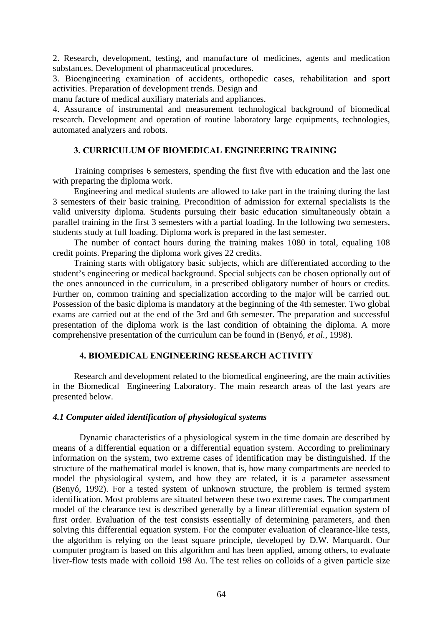2. Research, development, testing, and manufacture of medicines, agents and medication substances. Development of pharmaceutical procedures.

3. Bioengineering examination of accidents, orthopedic cases, rehabilitation and sport activities. Preparation of development trends. Design and

manu facture of medical auxiliary materials and appliances.

4. Assurance of instrumental and measurement technological background of biomedical research. Development and operation of routine laboratory large equipments, technologies, automated analyzers and robots.

## **3. CURRICULUM OF BIOMEDICAL ENGINEERING TRAINING**

 Training comprises 6 semesters, spending the first five with education and the last one with preparing the diploma work.

 Engineering and medical students are allowed to take part in the training during the last 3 semesters of their basic training. Precondition of admission for external specialists is the valid university diploma. Students pursuing their basic education simultaneously obtain a parallel training in the first 3 semesters with a partial loading. In the following two semesters, students study at full loading. Diploma work is prepared in the last semester.

 The number of contact hours during the training makes 1080 in total, equaling 108 credit points. Preparing the diploma work gives 22 credits.

 Training starts with obligatory basic subjects, which are differentiated according to the student's engineering or medical background. Special subjects can be chosen optionally out of the ones announced in the curriculum, in a prescribed obligatory number of hours or credits. Further on, common training and specialization according to the major will be carried out. Possession of the basic diploma is mandatory at the beginning of the 4th semester. Two global exams are carried out at the end of the 3rd and 6th semester. The preparation and successful presentation of the diploma work is the last condition of obtaining the diploma. A more comprehensive presentation of the curriculum can be found in (Benyó, *et al.*, 1998).

# **4. BIOMEDICAL ENGINEERING RESEARCH ACTIVITY**

 Research and development related to the biomedical engineering, are the main activities in the Biomedical Engineering Laboratory. The main research areas of the last years are presented below.

### *4.1 Computer aided identification of physiological systems*

Dynamic characteristics of a physiological system in the time domain are described by means of a differential equation or a differential equation system. According to preliminary information on the system, two extreme cases of identification may be distinguished. If the structure of the mathematical model is known, that is, how many compartments are needed to model the physiological system, and how they are related, it is a parameter assessment (Benyó, 1992). For a tested system of unknown structure, the problem is termed system identification. Most problems are situated between these two extreme cases. The compartment model of the clearance test is described generally by a linear differential equation system of first order. Evaluation of the test consists essentially of determining parameters, and then solving this differential equation system. For the computer evaluation of clearance-like tests, the algorithm is relying on the least square principle, developed by D.W. Marquardt. Our computer program is based on this algorithm and has been applied, among others, to evaluate liver-flow tests made with colloid 198 Au. The test relies on colloids of a given particle size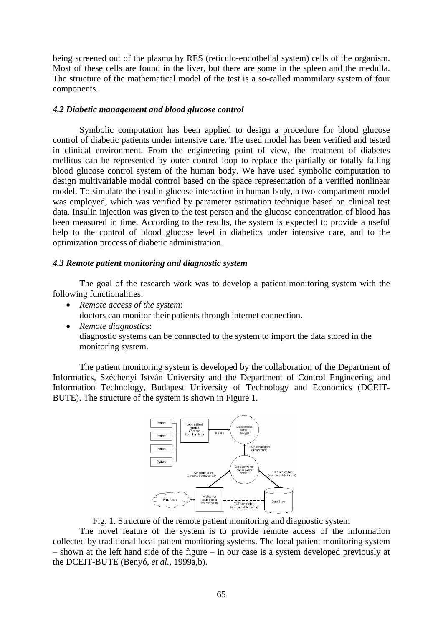being screened out of the plasma by RES (reticulo-endothelial system) cells of the organism. Most of these cells are found in the liver, but there are some in the spleen and the medulla. The structure of the mathematical model of the test is a so-called mammilary system of four components.

### *4.2 Diabetic management and blood glucose control*

 Symbolic computation has been applied to design a procedure for blood glucose control of diabetic patients under intensive care. The used model has been verified and tested in clinical environment. From the engineering point of view, the treatment of diabetes mellitus can be represented by outer control loop to replace the partially or totally failing blood glucose control system of the human body. We have used symbolic computation to design multivariable modal control based on the space representation of a verified nonlinear model. To simulate the insulin-glucose interaction in human body, a two-compartment model was employed, which was verified by parameter estimation technique based on clinical test data. Insulin injection was given to the test person and the glucose concentration of blood has been measured in time. According to the results, the system is expected to provide a useful help to the control of blood glucose level in diabetics under intensive care, and to the optimization process of diabetic administration.

#### *4.3 Remote patient monitoring and diagnostic system*

The goal of the research work was to develop a patient monitoring system with the following functionalities:

- *Remote access of the system*: doctors can monitor their patients through internet connection.
- *Remote diagnostics*: diagnostic systems can be connected to the system to import the data stored in the monitoring system.

The patient monitoring system is developed by the collaboration of the Department of Informatics, Széchenyi István University and the Department of Control Engineering and Information Technology, Budapest University of Technology and Economics (DCEIT-BUTE). The structure of the system is shown in Figure 1.



#### Fig. 1. Structure of the remote patient monitoring and diagnostic system

The novel feature of the system is to provide remote access of the information collected by traditional local patient monitoring systems. The local patient monitoring system – shown at the left hand side of the figure – in our case is a system developed previously at the DCEIT-BUTE (Benyó, *et al.*, 1999a,b).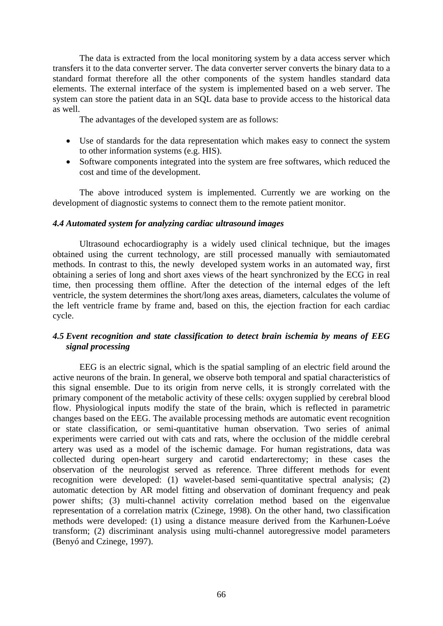The data is extracted from the local monitoring system by a data access server which transfers it to the data converter server. The data converter server converts the binary data to a standard format therefore all the other components of the system handles standard data elements. The external interface of the system is implemented based on a web server. The system can store the patient data in an SQL data base to provide access to the historical data as well.

The advantages of the developed system are as follows:

- Use of standards for the data representation which makes easy to connect the system to other information systems (e.g. HIS).
- Software components integrated into the system are free softwares, which reduced the cost and time of the development.

The above introduced system is implemented. Currently we are working on the development of diagnostic systems to connect them to the remote patient monitor.

# *4.4 Automated system for analyzing cardiac ultrasound images*

Ultrasound echocardiography is a widely used clinical technique, but the images obtained using the current technology, are still processed manually with semiautomated methods. In contrast to this, the newly developed system works in an automated way, first obtaining a series of long and short axes views of the heart synchronized by the ECG in real time, then processing them offline. After the detection of the internal edges of the left ventricle, the system determines the short/long axes areas, diameters, calculates the volume of the left ventricle frame by frame and, based on this, the ejection fraction for each cardiac cycle.

# *4.5 Event recognition and state classification to detect brain ischemia by means of EEG signal processing*

EEG is an electric signal, which is the spatial sampling of an electric field around the active neurons of the brain. In general, we observe both temporal and spatial characteristics of this signal ensemble. Due to its origin from nerve cells, it is strongly correlated with the primary component of the metabolic activity of these cells: oxygen supplied by cerebral blood flow. Physiological inputs modify the state of the brain, which is reflected in parametric changes based on the EEG. The available processing methods are automatic event recognition or state classification, or semi-quantitative human observation. Two series of animal experiments were carried out with cats and rats, where the occlusion of the middle cerebral artery was used as a model of the ischemic damage. For human registrations, data was collected during open-heart surgery and carotid endarterectomy; in these cases the observation of the neurologist served as reference. Three different methods for event recognition were developed: (1) wavelet-based semi-quantitative spectral analysis; (2) automatic detection by AR model fitting and observation of dominant frequency and peak power shifts; (3) multi-channel activity correlation method based on the eigenvalue representation of a correlation matrix (Czinege, 1998). On the other hand, two classification methods were developed: (1) using a distance measure derived from the Karhunen-Loéve transform; (2) discriminant analysis using multi-channel autoregressive model parameters (Benyó and Czinege, 1997).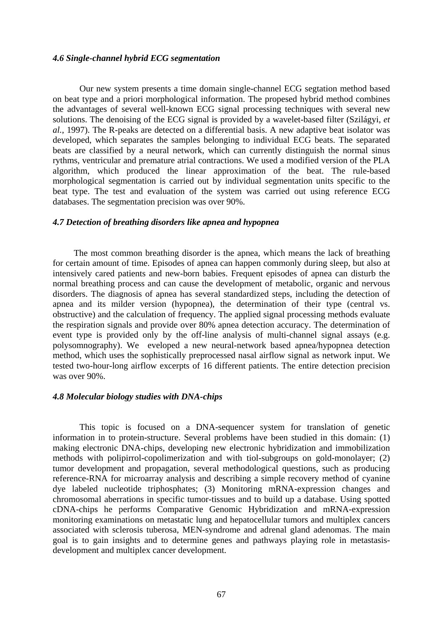### *4.6 Single-channel hybrid ECG segmentation*

Our new system presents a time domain single-channel ECG segtation method based on beat type and a priori morphological information. The propesed hybrid method combines the advantages of several well-known ECG signal processing techniques with several new solutions. The denoising of the ECG signal is provided by a wavelet-based filter (Szilágyi, *et al.*, 1997). The R-peaks are detected on a differential basis. A new adaptive beat isolator was developed, which separates the samples belonging to individual ECG beats. The separated beats are classified by a neural network, which can currently distinguish the normal sinus rythms, ventricular and premature atrial contractions. We used a modified version of the PLA algorithm, which produced the linear approximation of the beat. The rule-based morphological segmentation is carried out by individual segmentation units specific to the beat type. The test and evaluation of the system was carried out using reference ECG databases. The segmentation precision was over 90%.

#### *4.7 Detection of breathing disorders like apnea and hypopnea*

 The most common breathing disorder is the apnea, which means the lack of breathing for certain amount of time. Episodes of apnea can happen commonly during sleep, but also at intensively cared patients and new-born babies. Frequent episodes of apnea can disturb the normal breathing process and can cause the development of metabolic, organic and nervous disorders. The diagnosis of apnea has several standardized steps, including the detection of apnea and its milder version (hypopnea), the determination of their type (central vs. obstructive) and the calculation of frequency. The applied signal processing methods evaluate the respiration signals and provide over 80% apnea detection accuracy. The determination of event type is provided only by the off-line analysis of multi-channel signal assays (e.g. polysomnography). We eveloped a new neural-network based apnea/hypopnea detection method, which uses the sophistically preprocessed nasal airflow signal as network input. We tested two-hour-long airflow excerpts of 16 different patients. The entire detection precision was over 90%.

#### *4.8 Molecular biology studies with DNA-chips*

This topic is focused on a DNA-sequencer system for translation of genetic information in to protein-structure. Several problems have been studied in this domain: (1) making electronic DNA-chips, developing new electronic hybridization and immobilization methods with polipirrol-copolimerization and with tiol-subgroups on gold-monolayer; (2) tumor development and propagation, several methodological questions, such as producing reference-RNA for microarray analysis and describing a simple recovery method of cyanine dye labeled nucleotide triphosphates; (3) Monitoring mRNA-expression changes and chromosomal aberrations in specific tumor-tissues and to build up a database. Using spotted cDNA-chips he performs Comparative Genomic Hybridization and mRNA-expression monitoring examinations on metastatic lung and hepatocellular tumors and multiplex cancers associated with sclerosis tuberosa, MEN-syndrome and adrenal gland adenomas. The main goal is to gain insights and to determine genes and pathways playing role in metastasisdevelopment and multiplex cancer development.